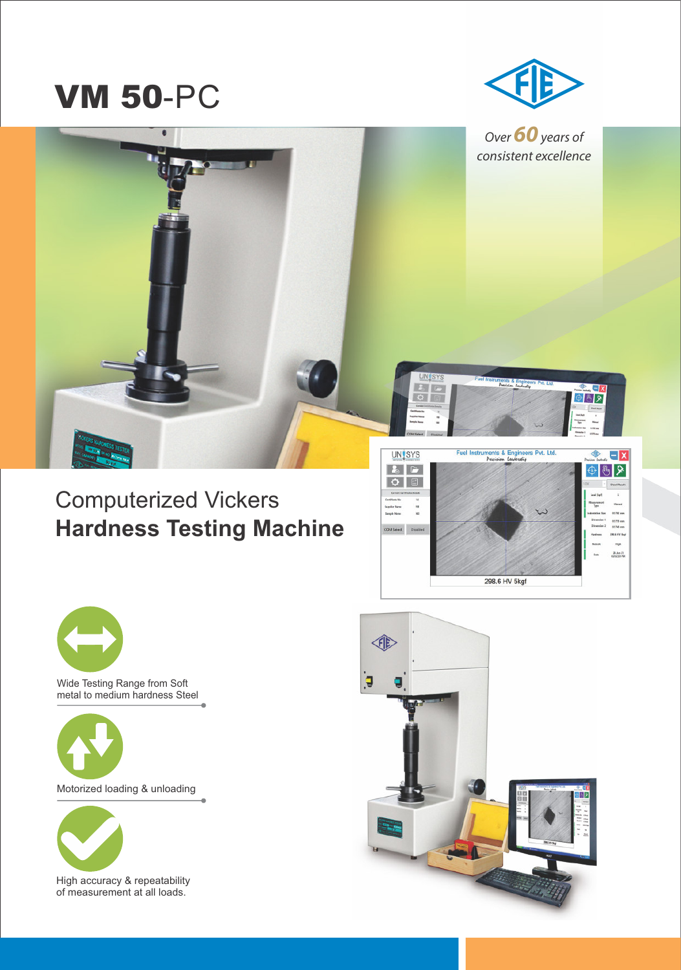# **VM 50-PC**



Over **60** years of consistent excellence

∌ ∛ २

## Computerized Vickers **Hardness Testing Machine**



**UNISYS** 163



Wide Testing Range from Soft metal to medium hardness Steel



Motorized loading & unloading



High accuracy & repeatability of measurement at all loads.